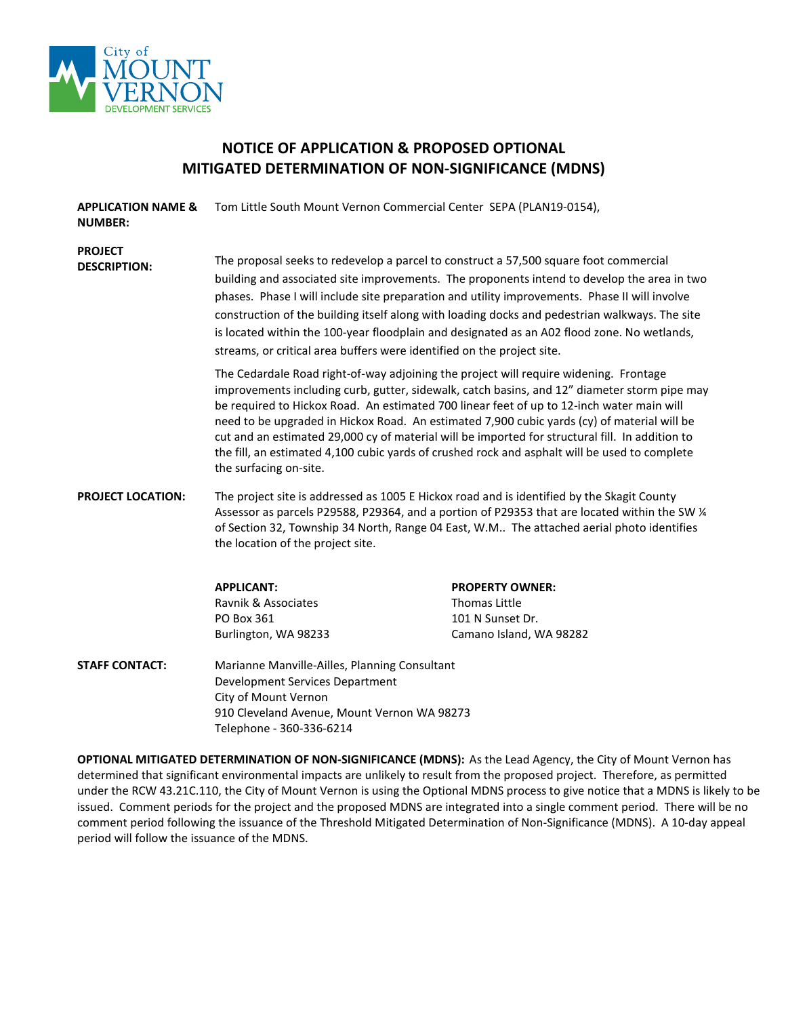

## **NOTICE OF APPLICATION & PROPOSED OPTIONAL MITIGATED DETERMINATION OF NON-SIGNIFICANCE (MDNS)**

| <b>APPLICATION NAME &amp;</b><br><b>NUMBER:</b> | Tom Little South Mount Vernon Commercial Center SEPA (PLAN19-0154),                                                                                                                                                                                                                                                                                                                                                                                                                                                                                                                                             |                         |  |
|-------------------------------------------------|-----------------------------------------------------------------------------------------------------------------------------------------------------------------------------------------------------------------------------------------------------------------------------------------------------------------------------------------------------------------------------------------------------------------------------------------------------------------------------------------------------------------------------------------------------------------------------------------------------------------|-------------------------|--|
| <b>PROJECT</b><br><b>DESCRIPTION:</b>           | The proposal seeks to redevelop a parcel to construct a 57,500 square foot commercial<br>building and associated site improvements. The proponents intend to develop the area in two<br>phases. Phase I will include site preparation and utility improvements. Phase II will involve<br>construction of the building itself along with loading docks and pedestrian walkways. The site<br>is located within the 100-year floodplain and designated as an A02 flood zone. No wetlands,<br>streams, or critical area buffers were identified on the project site.                                                |                         |  |
|                                                 | The Cedardale Road right-of-way adjoining the project will require widening. Frontage<br>improvements including curb, gutter, sidewalk, catch basins, and 12" diameter storm pipe may<br>be required to Hickox Road. An estimated 700 linear feet of up to 12-inch water main will<br>need to be upgraded in Hickox Road. An estimated 7,900 cubic yards (cy) of material will be<br>cut and an estimated 29,000 cy of material will be imported for structural fill. In addition to<br>the fill, an estimated 4,100 cubic yards of crushed rock and asphalt will be used to complete<br>the surfacing on-site. |                         |  |
| <b>PROJECT LOCATION:</b>                        | The project site is addressed as 1005 E Hickox road and is identified by the Skagit County<br>Assessor as parcels P29588, P29364, and a portion of P29353 that are located within the SW 1/4<br>of Section 32, Township 34 North, Range 04 East, W.M The attached aerial photo identifies<br>the location of the project site.                                                                                                                                                                                                                                                                                  |                         |  |
|                                                 | <b>APPLICANT:</b>                                                                                                                                                                                                                                                                                                                                                                                                                                                                                                                                                                                               | <b>PROPERTY OWNER:</b>  |  |
|                                                 | Ravnik & Associates                                                                                                                                                                                                                                                                                                                                                                                                                                                                                                                                                                                             | <b>Thomas Little</b>    |  |
|                                                 | PO Box 361                                                                                                                                                                                                                                                                                                                                                                                                                                                                                                                                                                                                      | 101 N Sunset Dr.        |  |
|                                                 | Burlington, WA 98233                                                                                                                                                                                                                                                                                                                                                                                                                                                                                                                                                                                            | Camano Island, WA 98282 |  |
| <b>STAFF CONTACT:</b>                           | Marianne Manville-Ailles, Planning Consultant<br>Development Services Department<br>City of Mount Vernon<br>910 Cleveland Avenue, Mount Vernon WA 98273                                                                                                                                                                                                                                                                                                                                                                                                                                                         |                         |  |

**OPTIONAL MITIGATED DETERMINATION OF NON-SIGNIFICANCE (MDNS):** As the Lead Agency, the City of Mount Vernon has determined that significant environmental impacts are unlikely to result from the proposed project. Therefore, as permitted under the RCW 43.21C.110, the City of Mount Vernon is using the Optional MDNS process to give notice that a MDNS is likely to be issued. Comment periods for the project and the proposed MDNS are integrated into a single comment period. There will be no comment period following the issuance of the Threshold Mitigated Determination of Non-Significance (MDNS). A 10-day appeal period will follow the issuance of the MDNS.

Telephone - 360-336-6214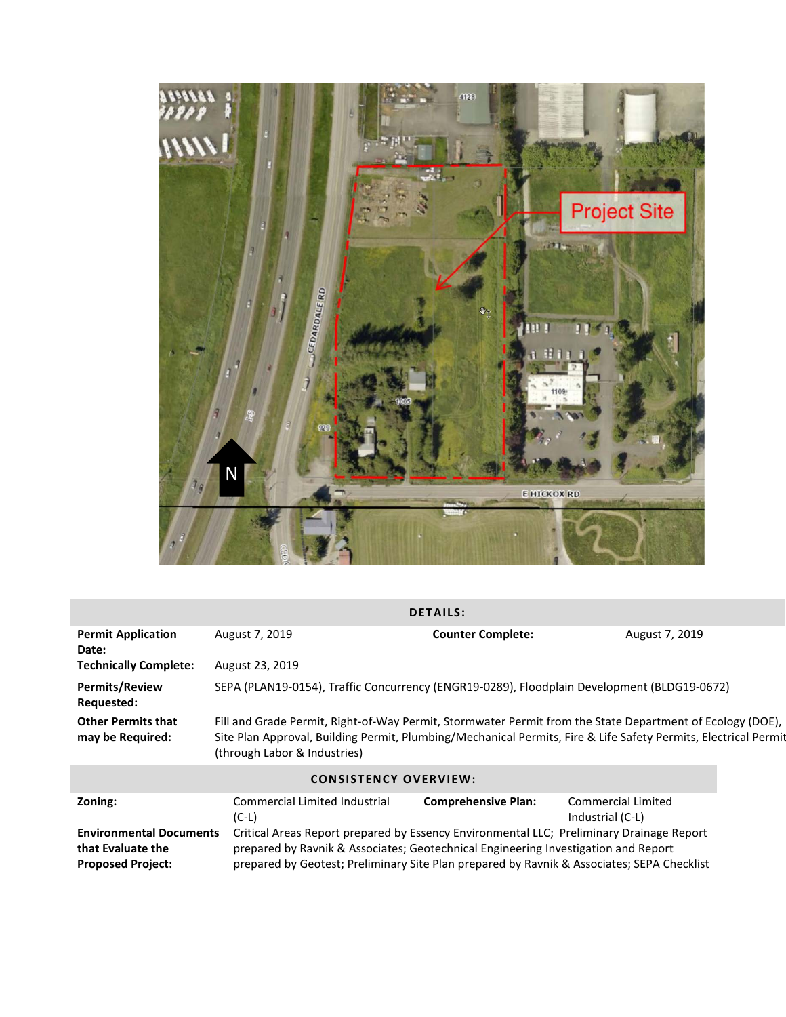

| <b>DETAILS:</b>                                                                 |                                                                                                                                                                                                                                                                              |                            |                                                                                                                                                                                                                              |  |
|---------------------------------------------------------------------------------|------------------------------------------------------------------------------------------------------------------------------------------------------------------------------------------------------------------------------------------------------------------------------|----------------------------|------------------------------------------------------------------------------------------------------------------------------------------------------------------------------------------------------------------------------|--|
| <b>Permit Application</b><br>Date:                                              | August 7, 2019                                                                                                                                                                                                                                                               | <b>Counter Complete:</b>   | August 7, 2019                                                                                                                                                                                                               |  |
| <b>Technically Complete:</b>                                                    | August 23, 2019                                                                                                                                                                                                                                                              |                            |                                                                                                                                                                                                                              |  |
| <b>Permits/Review</b><br><b>Requested:</b>                                      | SEPA (PLAN19-0154), Traffic Concurrency (ENGR19-0289), Floodplain Development (BLDG19-0672)                                                                                                                                                                                  |                            |                                                                                                                                                                                                                              |  |
| <b>Other Permits that</b><br>may be Required:                                   | (through Labor & Industries)                                                                                                                                                                                                                                                 |                            | Fill and Grade Permit, Right-of-Way Permit, Stormwater Permit from the State Department of Ecology (DOE),<br>Site Plan Approval, Building Permit, Plumbing/Mechanical Permits, Fire & Life Safety Permits, Electrical Permit |  |
| <b>CONSISTENCY OVERVIEW:</b>                                                    |                                                                                                                                                                                                                                                                              |                            |                                                                                                                                                                                                                              |  |
| Zoning:                                                                         | <b>Commercial Limited Industrial</b><br>$(C-L)$                                                                                                                                                                                                                              | <b>Comprehensive Plan:</b> | <b>Commercial Limited</b><br>Industrial (C-L)                                                                                                                                                                                |  |
| <b>Environmental Documents</b><br>that Evaluate the<br><b>Proposed Project:</b> | Critical Areas Report prepared by Essency Environmental LLC; Preliminary Drainage Report<br>prepared by Ravnik & Associates; Geotechnical Engineering Investigation and Report<br>prepared by Geotest; Preliminary Site Plan prepared by Ravnik & Associates; SEPA Checklist |                            |                                                                                                                                                                                                                              |  |